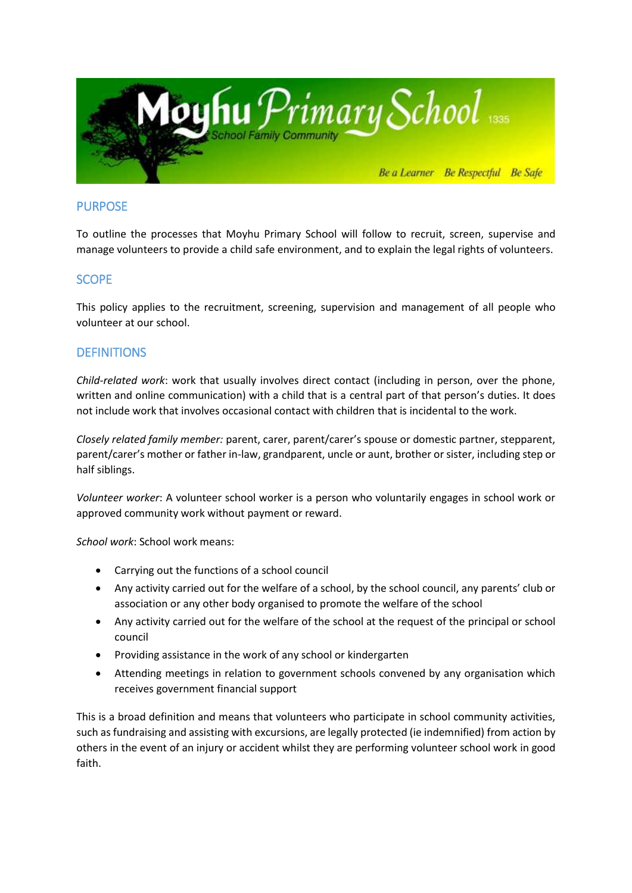

# PURPOSE

To outline the processes that Moyhu Primary School will follow to recruit, screen, supervise and manage volunteers to provide a child safe environment, and to explain the legal rights of volunteers.

## SCOPE

This policy applies to the recruitment, screening, supervision and management of all people who volunteer at our school.

## **DEFINITIONS**

*Child-related work*: work that usually involves direct contact (including in person, over the phone, written and online communication) with a child that is a central part of that person's duties. It does not include work that involves occasional contact with children that is incidental to the work.

*Closely related family member:* parent, carer, parent/carer's spouse or domestic partner, stepparent, parent/carer's mother or father in-law, grandparent, uncle or aunt, brother or sister, including step or half siblings.

*Volunteer worker*: A volunteer school worker is a person who voluntarily engages in school work or approved community work without payment or reward.

*School work*: School work means:

- Carrying out the functions of a school council
- Any activity carried out for the welfare of a school, by the school council, any parents' club or association or any other body organised to promote the welfare of the school
- Any activity carried out for the welfare of the school at the request of the principal or school council
- Providing assistance in the work of any school or kindergarten
- Attending meetings in relation to government schools convened by any organisation which receives government financial support

This is a broad definition and means that volunteers who participate in school community activities, such as fundraising and assisting with excursions, are legally protected (ie indemnified) from action by others in the event of an injury or accident whilst they are performing volunteer school work in good faith.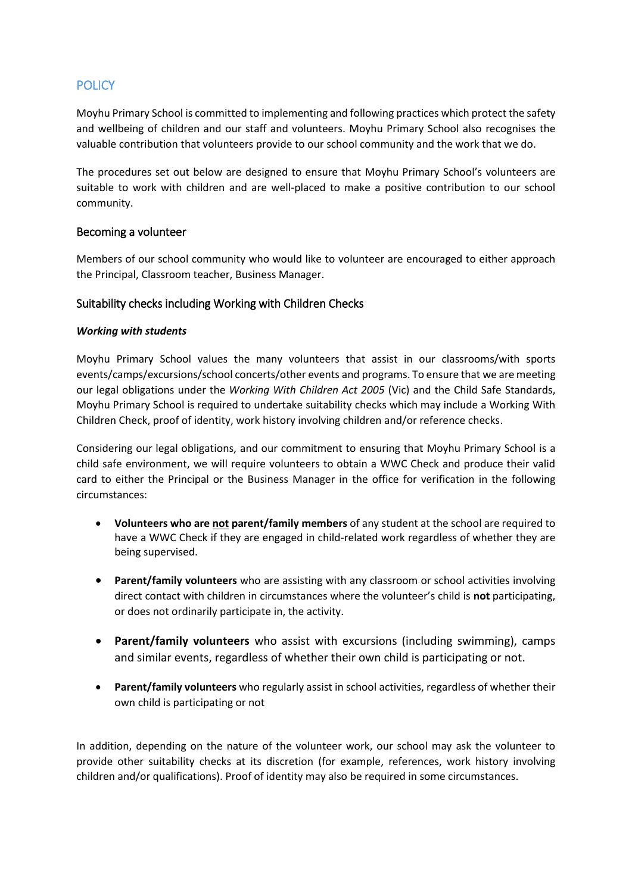# **POLICY**

Moyhu Primary School is committed to implementing and following practices which protect the safety and wellbeing of children and our staff and volunteers. Moyhu Primary School also recognises the valuable contribution that volunteers provide to our school community and the work that we do.

The procedures set out below are designed to ensure that Moyhu Primary School's volunteers are suitable to work with children and are well-placed to make a positive contribution to our school community.

## Becoming a volunteer

Members of our school community who would like to volunteer are encouraged to either approach the Principal, Classroom teacher, Business Manager.

### Suitability checks including Working with Children Checks

### *Working with students*

Moyhu Primary School values the many volunteers that assist in our classrooms/with sports events/camps/excursions/school concerts/other events and programs. To ensure that we are meeting our legal obligations under the *Working With Children Act 2005* (Vic) and the Child Safe Standards, Moyhu Primary School is required to undertake suitability checks which may include a Working With Children Check, proof of identity, work history involving children and/or reference checks.

Considering our legal obligations, and our commitment to ensuring that Moyhu Primary School is a child safe environment, we will require volunteers to obtain a WWC Check and produce their valid card to either the Principal or the Business Manager in the office for verification in the following circumstances:

- **Volunteers who are not parent/family members** of any student at the school are required to have a WWC Check if they are engaged in child-related work regardless of whether they are being supervised.
- **Parent/family volunteers** who are assisting with any classroom or school activities involving direct contact with children in circumstances where the volunteer's child is **not** participating, or does not ordinarily participate in, the activity.
- **Parent/family volunteers** who assist with excursions (including swimming), camps and similar events, regardless of whether their own child is participating or not.
- **Parent/family volunteers** who regularly assist in school activities, regardless of whether their own child is participating or not

In addition, depending on the nature of the volunteer work, our school may ask the volunteer to provide other suitability checks at its discretion (for example, references, work history involving children and/or qualifications). Proof of identity may also be required in some circumstances.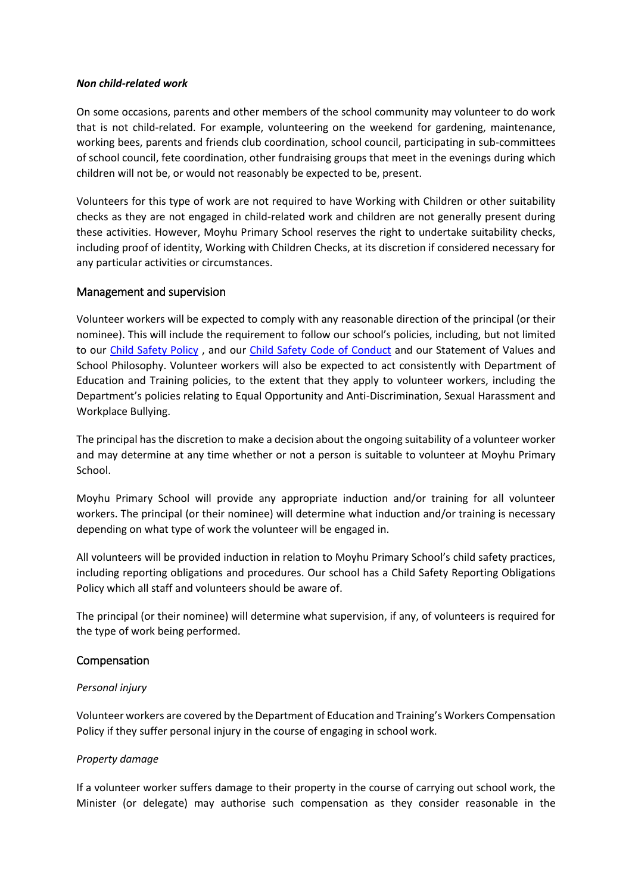#### *Non child-related work*

On some occasions, parents and other members of the school community may volunteer to do work that is not child-related. For example, volunteering on the weekend for gardening, maintenance, working bees, parents and friends club coordination, school council, participating in sub-committees of school council, fete coordination, other fundraising groups that meet in the evenings during which children will not be, or would not reasonably be expected to be, present.

Volunteers for this type of work are not required to have Working with Children or other suitability checks as they are not engaged in child-related work and children are not generally present during these activities. However, Moyhu Primary School reserves the right to undertake suitability checks, including proof of identity, Working with Children Checks, at its discretion if considered necessary for any particular activities or circumstances.

### Management and supervision

Volunteer workers will be expected to comply with any reasonable direction of the principal (or their nominee). This will include the requirement to follow our school's policies, including, but not limited to our [Child Safety Policy](http://secureservercdn.net/198.71.233.44/6mp.adb.myftpupload.com/wp-content/uploads/2019/11/Child-Safety-Policy-Nov-2019.pdf) , and our Child [Safety Code of Conduct](http://secureservercdn.net/198.71.233.44/6mp.adb.myftpupload.com/wp-content/uploads/2019/11/Child-Safety-Code-of-Conduct.pdf) and our Statement of Values and School Philosophy. Volunteer workers will also be expected to act consistently with Department of Education and Training policies, to the extent that they apply to volunteer workers, including the Department's policies relating to Equal Opportunity and Anti-Discrimination, Sexual Harassment and Workplace Bullying.

The principal has the discretion to make a decision about the ongoing suitability of a volunteer worker and may determine at any time whether or not a person is suitable to volunteer at Moyhu Primary School.

Moyhu Primary School will provide any appropriate induction and/or training for all volunteer workers. The principal (or their nominee) will determine what induction and/or training is necessary depending on what type of work the volunteer will be engaged in.

All volunteers will be provided induction in relation to Moyhu Primary School's child safety practices, including reporting obligations and procedures. Our school has a Child Safety Reporting Obligations Policy which all staff and volunteers should be aware of.

The principal (or their nominee) will determine what supervision, if any, of volunteers is required for the type of work being performed.

## Compensation

### *Personal injury*

Volunteer workers are covered by the Department of Education and Training's Workers Compensation Policy if they suffer personal injury in the course of engaging in school work.

### *Property damage*

If a volunteer worker suffers damage to their property in the course of carrying out school work, the Minister (or delegate) may authorise such compensation as they consider reasonable in the